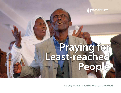**Global Disciples** 

# **Praying for Least-reached People**

**31-Day Prayer Guide for the Least-reached**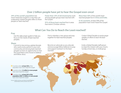# **Over 2 billion people have yet to hear the Gospel even once!**

**29% of the world's population** has never heard the Gospel in a way they can understand. Global Disciples refers to these people as "least-reached."

**Fewer than 10% of all missionaries** work among people groups least-reached with the Gospel.

**91% of those least-reached** live in areas that restrict Christian witness.

**More than 50%** of the world's leastreached people live in **China and India**.

**In 42 countries**, at least 50% of the population have never heard the Gospel.

# **What Can You Do to Reach the Least-reached?**

### **Pray**

Use this daily prayer guide to help you focus on the needs of least-reached peoples.

Find or develop a new group and pray together for least-reached peoples.

*Contact Global Disciples to receive prayer updates on efforts to reach the leastreached.*

## **Share**

Commit to becoming a global disciple who wants every person in your own community and among least-reached peoples to have an opportunity to hear the Good News and choose to believe and follow Jesus.

Become an advocate as you educate and encourage fellow believers to pray and support outreach to the leastreached.

Invite a Global Disciples staff person to share this mission with your church, Sunday school class, or small group.

 Countries where **at least 50%** of the population have never heard the Gospel

**Example 2 million or more people** have never heard the Gospel

**Countries where at least 50% of the population AND 12 million or more people** have never heard the Gospel

Source: Todd M. Johnson, ed. World Christian Database (Leiden/Boston: Brill, accessed June 2015)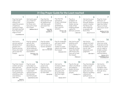| 31-Day Prayer Guide for the Least-reached                                                                                                                                                         |                                                                                                                                                                                |                                                                                                                                                                     |                                                                                                                                                           |                                                                                                                                                                                     |                                                                                                                                                                           |                                                                                                                                                                                                                   |  |  |  |
|---------------------------------------------------------------------------------------------------------------------------------------------------------------------------------------------------|--------------------------------------------------------------------------------------------------------------------------------------------------------------------------------|---------------------------------------------------------------------------------------------------------------------------------------------------------------------|-----------------------------------------------------------------------------------------------------------------------------------------------------------|-------------------------------------------------------------------------------------------------------------------------------------------------------------------------------------|---------------------------------------------------------------------------------------------------------------------------------------------------------------------------|-------------------------------------------------------------------------------------------------------------------------------------------------------------------------------------------------------------------|--|--|--|
| Pray that God's<br>Light would<br>expose and<br>expel the powers<br>of darkness<br>seeking to keep<br>the least-reached<br>from the knowl-<br>edge of God.<br>2 Corinthians 4:6                   | $\overline{\mathbf{2}}$<br>Ask God to give<br>you a heart of<br>compassion<br>for those who<br>have yet to hear<br>the Gospel.<br>Matthew 9:36-37                              | 3<br>Pray that the<br>least-reached will<br>be disillusioned<br>with false gods<br>and search for<br>Truth.<br>Psalm 96:5:<br>1 Kings 18;<br>Isaiah $\bar{5}$ 5:1-3 | 4<br>Pray that the<br>conscience<br>of each individual<br>would be<br>sensitized to<br>their need for<br>salvation.<br>Romans 1:20;<br>Acts 2:37          | 5<br>Pray for a<br>revelation of<br>God's love to<br>shatter strong-<br>holds of fear<br>holding people<br>captive to<br>demonic powers.<br>1 John 4:18                             | 6<br>Ask God to pour<br>out His power<br>through dreams,<br>visions, miracles,<br>His Word, and<br>other believers,<br>so people will<br>find Christ.<br>Acts 2:17-21; 10 | 7<br>Pray for more<br>followers of<br>Jesus to eagerly<br>take the Good<br>News to those<br>who have never<br>heard.<br>Matthew 9:37-38;<br>Romans 15:20                                                          |  |  |  |
| 8<br>Ask God to<br>remove spiritual<br>blindness from<br>people of in-<br>fluence among<br>those who have<br>yet to hear the<br>Gospel.<br>Acts 17:12                                             | 9<br>Pray for spiritual<br>growth and<br>grounding in<br>God's Word for<br>'secret believers'<br>facing opposition<br>and isolation.<br>Colossians 1:23:<br>1 Peter 5:9        | 10<br>Pray for entire<br>households to<br>turn to Jesus and<br>receive salvation.<br>John 4:53:<br>Acts 11:13-14; 16:15                                             | Pray for strategies<br>and open doors<br>for mission<br>workers to enter<br>nations and share<br>the Gospel.<br>Colossians 4:3-6                          | 12<br>Ask God to give<br>boldness and<br>divine favor<br>to indigenous<br>believers as they<br>share their faith<br>with those who<br>have yet to hear<br>the Gospel.<br>Philemon 6 | 13<br>Ask God to<br>release His Spirit<br>to bring a heart<br>revelation regard-<br>ing sin, righ-<br>teousness, and<br>judgment.<br>John 16:8-11                         | 14<br>Ask God to<br>show you what<br>financial commit-<br>ments He wants<br>you to make to<br>enable workers<br>to go to least-<br>reached places.<br>Romans 10:15;<br>1 Corinthians 16:1-2;<br>2 Corinthians 8-9 |  |  |  |
| 15<br>Pray that mission<br>workers among<br>least-reached<br>peoples would<br>be sustained by<br>God's protection,<br>anointing, unity,<br>and intimacy<br>with Him.<br>Psalm 91:<br>John 15:1-17 | 16<br>Pray for souls<br>to be taken as<br>plunder from the<br>Enemy, resulting<br>in abundant<br>spiritual harvest<br>among least-<br>reached people.<br>Isaiah 49:24-25: 45:3 | 17<br>Pray for God's<br>power and<br>boldness for<br>believers who<br>face persecution<br>for their faith.<br>Acts 4:29-30                                          | 18<br>Ask God to<br>increase a desire<br>among His<br>global Church to<br>pray, give, and<br>go so the least-<br>reached might<br>hear.<br>Romans 10:14-1 | 19<br>Pray for the sal-<br>vation of political<br>and religious<br>leaders among<br>least-reached<br>people.<br>1 Timothy 2:1-4                                                     | 20<br>Pray that disciple-<br>makers would<br>have discern-<br>ment from the<br>Spirit and God's<br>Word in handling<br>cultural and<br>spiritual issues.<br>Acts 15:1-29  | 21<br>Ask God to<br>pour out the<br>revelation that<br>salvation comes<br>through Jesus<br>alone.<br>Acts. 4:12                                                                                                   |  |  |  |